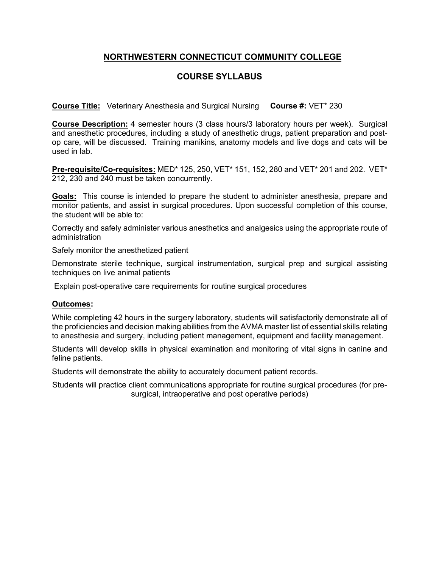## **NORTHWESTERN CONNECTICUT COMMUNITY COLLEGE**

### **COURSE SYLLABUS**

**Course Title:** Veterinary Anesthesia and Surgical Nursing **Course #:** VET\* 230

**Course Description:** 4 semester hours (3 class hours/3 laboratory hours per week). Surgical and anesthetic procedures, including a study of anesthetic drugs, patient preparation and postop care, will be discussed. Training manikins, anatomy models and live dogs and cats will be used in lab.

**Pre-requisite/Co-requisites:** MED\* 125, 250, VET\* 151, 152, 280 and VET\* 201 and 202. VET\* 212, 230 and 240 must be taken concurrently.

**Goals:** This course is intended to prepare the student to administer anesthesia, prepare and monitor patients, and assist in surgical procedures. Upon successful completion of this course, the student will be able to:

Correctly and safely administer various anesthetics and analgesics using the appropriate route of administration

Safely monitor the anesthetized patient

Demonstrate sterile technique, surgical instrumentation, surgical prep and surgical assisting techniques on live animal patients

Explain post-operative care requirements for routine surgical procedures

#### **Outcomes:**

While completing 42 hours in the surgery laboratory, students will satisfactorily demonstrate all of the proficiencies and decision making abilities from the AVMA master list of essential skills relating to anesthesia and surgery, including patient management, equipment and facility management.

Students will develop skills in physical examination and monitoring of vital signs in canine and feline patients.

Students will demonstrate the ability to accurately document patient records.

Students will practice client communications appropriate for routine surgical procedures (for presurgical, intraoperative and post operative periods)